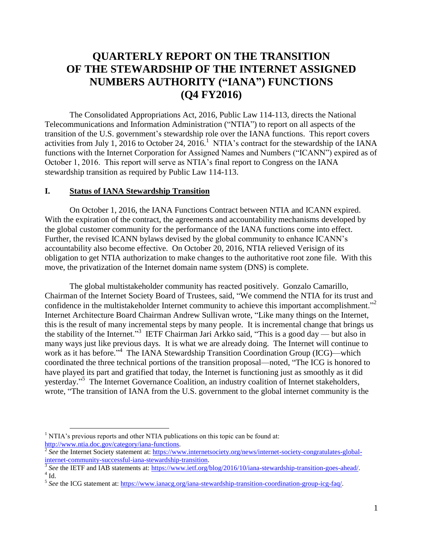## **QUARTERLY REPORT ON THE TRANSITION OF THE STEWARDSHIP OF THE INTERNET ASSIGNED NUMBERS AUTHORITY ("IANA") FUNCTIONS (Q4 FY2016)**

The Consolidated Appropriations Act, 2016, Public Law 114-113, directs the National Telecommunications and Information Administration ("NTIA") to report on all aspects of the transition of the U.S. government's stewardship role over the IANA functions. This report covers activities from July 1, 2016 to October 24, 2016.<sup>1</sup> NTIA's contract for the stewardship of the IANA functions with the Internet Corporation for Assigned Names and Numbers ("ICANN") expired as of October 1, 2016. This report will serve as NTIA's final report to Congress on the IANA stewardship transition as required by Public Law 114-113.

## **I. Status of IANA Stewardship Transition**

On October 1, 2016, the IANA Functions Contract between NTIA and ICANN expired. With the expiration of the contract, the agreements and accountability mechanisms developed by the global customer community for the performance of the IANA functions come into effect. Further, the revised ICANN bylaws devised by the global community to enhance ICANN's accountability also become effective. On October 20, 2016, NTIA relieved Verisign of its obligation to get NTIA authorization to make changes to the authoritative root zone file. With this move, the privatization of the Internet domain name system (DNS) is complete.

The global multistakeholder community has reacted positively. Gonzalo Camarillo, Chairman of the Internet Society Board of Trustees, said, "We commend the NTIA for its trust and confidence in the multistakeholder Internet community to achieve this important accomplishment."<sup>2</sup> Internet Architecture Board Chairman Andrew Sullivan wrote, "Like many things on the Internet, this is the result of many incremental steps by many people. It is incremental change that brings us the stability of the Internet."<sup>3</sup> IETF Chairman Jari Arkko said, "This is a good day — but also in many ways just like previous days. It is what we are already doing. The Internet will continue to work as it has before."<sup>4</sup> The IANA Stewardship Transition Coordination Group (ICG)—which coordinated the three technical portions of the transition proposal—noted, "The ICG is honored to have played its part and gratified that today, the Internet is functioning just as smoothly as it did yesterday."<sup>5</sup> The Internet Governance Coalition, an industry coalition of Internet stakeholders, wrote, "The transition of IANA from the U.S. government to the global internet community is the

 $\overline{a}$ 

 $<sup>1</sup> N T I A$ 's previous reports and other NTIA publications on this topic can be found at:</sup> [http://www.ntia.doc.gov/category/iana-functions.](http://www.ntia.doc.gov/category/iana-functions) 

<sup>&</sup>lt;sup>2</sup> See the Internet Society statement at: [https://www.internetsociety.org/news/internet-society-congratulates-global](https://www.internetsociety.org/news/internet-society-congratulates-global-internet-community-successful-iana-stewardship-transition)[internet-community-successful-iana-stewardship-transition.](https://www.internetsociety.org/news/internet-society-congratulates-global-internet-community-successful-iana-stewardship-transition)

<sup>&</sup>lt;sup>3</sup> See the IETF and IAB statements at: [https://www.ietf.org/blog/2016/10/iana-stewardship-transition-goes-ahead/.](https://www.ietf.org/blog/2016/10/iana-stewardship-transition-goes-ahead/)  $4$  Id.

<sup>&</sup>lt;sup>5</sup> See the ICG statement at[: https://www.ianacg.org/iana-stewardship-transition-coordination-group-icg-faq/.](https://www.ianacg.org/iana-stewardship-transition-coordination-group-icg-faq/)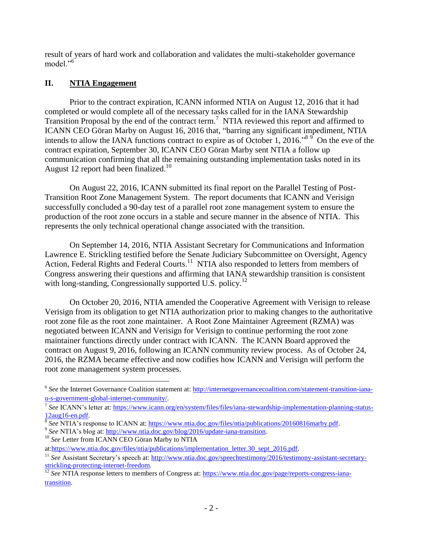result of years of hard work and collaboration and validates the multi-stakeholder governance model<sup>"6</sup>

## **II. NTIA Engagement**

Prior to the contract expiration, ICANN informed NTIA on August 12, 2016 that it had completed or would complete all of the necessary tasks called for in the IANA Stewardship Transition Proposal by the end of the contract term.<sup>7</sup> NTIA reviewed this report and affirmed to ICANN CEO Göran Marby on August 16, 2016 that, "barring any significant impediment, NTIA intends to allow the IANA functions contract to expire as of October 1, 2016.<sup>89</sup> On the eve of the contract expiration, September 30, ICANN CEO Göran Marby sent NTIA a follow up communication confirming that all the remaining outstanding implementation tasks noted in its August 12 report had been finalized.<sup>10</sup>

On August 22, 2016, ICANN submitted its final report on the Parallel Testing of Post-Transition Root Zone Management System. The report documents that ICANN and Verisign successfully concluded a 90-day test of a parallel root zone management system to ensure the production of the root zone occurs in a stable and secure manner in the absence of NTIA. This represents the only technical operational change associated with the transition.

On September 14, 2016, NTIA Assistant Secretary for Communications and Information Lawrence E. Strickling testified before the Senate Judiciary Subcommittee on Oversight, Agency Action, Federal Rights and Federal Courts.<sup>11</sup> NTIA also responded to letters from members of Congress answering their questions and affirming that IANA stewardship transition is consistent with long-standing, Congressionally supported U.S. policy.<sup>12</sup>

On October 20, 2016, NTIA amended the Cooperative Agreement with Verisign to release Verisign from its obligation to get NTIA authorization prior to making changes to the authoritative root zone file as the root zone maintainer. A Root Zone Maintainer Agreement (RZMA) was negotiated between ICANN and Verisign for Verisign to continue performing the root zone maintainer functions directly under contract with ICANN. The ICANN Board approved the contract on August 9, 2016, following an ICANN community review process. As of October 24, 2016, the RZMA became effective and now codifies how ICANN and Verisign will perform the root zone management system processes.

 $\overline{a}$ 

<sup>&</sup>lt;sup>6</sup> See the Internet Governance Coalition statement at: [http://internetgovernancecoalition.com/statement-transition-iana](http://internetgovernancecoalition.com/statement-transition-iana-u-s-government-global-internet-community/)[u-s-government-global-internet-community/.](http://internetgovernancecoalition.com/statement-transition-iana-u-s-government-global-internet-community/)

<sup>&</sup>lt;sup>7</sup> See ICANN's letter at: [https://www.icann.org/en/system/files/files/iana-stewardship-implementation-planning-status-](https://www.icann.org/en/system/files/files/iana-stewardship-implementation-planning-status-12aug16-en.pdf) $\frac{12\text{aug16-en.pdf}}{8 \text{ Sec. NTL A}^2}$ 

*See* NTIA's response to ICANN at: [https://www.ntia.doc.gov/files/ntia/publications/20160816marby.pdf.](https://www.ntia.doc.gov/files/ntia/publications/20160816marby.pdf)

<sup>&</sup>lt;sup>9</sup> See NTIA's blog at: [http://www.ntia.doc.gov/blog/2016/update-iana-transition.](http://www.ntia.doc.gov/blog/2016/update-iana-transition)

<sup>&</sup>lt;sup>10</sup> See Letter from ICANN CEO Göran Marby to NTIA

at[:https://www.ntia.doc.gov/files/ntia/publications/implementation\\_letter.30\\_sept\\_2016.pdf.](https://www.ntia.doc.gov/files/ntia/publications/implementation_letter.30_sept_2016.pdf)

<sup>&</sup>lt;sup>11</sup> See Assistant Secretary's speech at: [http://www.ntia.doc.gov/speechtestimony/2016/testimony-assistant-secretary](http://www.ntia.doc.gov/speechtestimony/2016/testimony-assistant-secretary-strickling-protecting-internet-freedom)[strickling-protecting-internet-freedom.](http://www.ntia.doc.gov/speechtestimony/2016/testimony-assistant-secretary-strickling-protecting-internet-freedom)

<sup>&</sup>lt;sup>12</sup> *See* NTIA response letters to members of Congress at: [https://www.ntia.doc.gov/page/reports-congress-iana](https://www.ntia.doc.gov/page/reports-congress-iana-transition)[transition.](https://www.ntia.doc.gov/page/reports-congress-iana-transition)